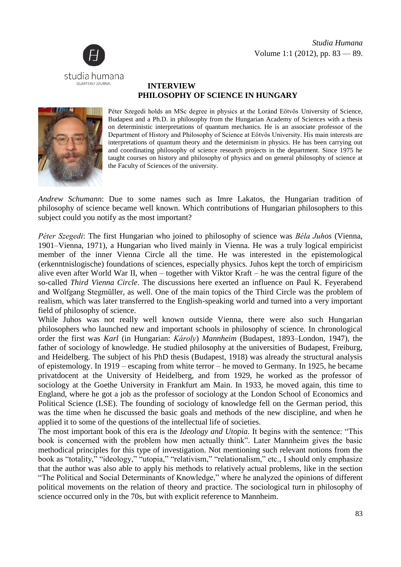

## **INTERVIEW PHILOSOPHY OF SCIENCE IN HUNGARY**



Péter Szegedi holds an MSc degree in physics at the Loránd Eötvös University of Science, Budapest and a Ph.D. in philosophy from the Hungarian Academy of Sciences with a thesis on deterministic interpretations of quantum mechanics. He is an associate professor of the Department of History and Philosophy of Science at Eötvös University. His main interests are interpretations of quantum theory and the determinism in physics. He has been carrying out and coordinating philosophy of science research projects in the department. Since 1975 he taught courses on history and philosophy of physics and on general philosophy of science at the Faculty of Sciences of the university.

*Andrew Schumann*: Due to some names such as Imre Lakatos, the Hungarian tradition of philosophy of science became well known. Which contributions of Hungarian philosophers to this subject could you notify as the most important?

*Péter Szegedi*: The first Hungarian who joined to philosophy of science was *Béla Juhos* (Vienna, 1901–Vienna, 1971), a Hungarian who lived mainly in Vienna. He was a truly logical empiricist member of the inner Vienna Circle all the time. He was interested in the epistemological (erkenntnislogische) foundations of sciences, especially physics. Juhos kept the torch of empiricism alive even after World War II, when – together with Viktor Kraft – he was the central figure of the so-called *Third Vienna Circle*. The discussions here exerted an influence on Paul K. Feyerabend and Wolfgang Stegmüller, as well. One of the main topics of the Third Circle was the problem of realism, which was later transferred to the English-speaking world and turned into a very important field of philosophy of science.

While Juhos was not really well known outside Vienna, there were also such Hungarian philosophers who launched new and important schools in philosophy of science. In chronological order the first was *Karl* (in Hungarian: *Károly*) *Mannheim* (Budapest, 1893–London, 1947), the father of sociology of knowledge. He studied philosophy at the universities of Budapest, Freiburg, and Heidelberg. The subject of his PhD thesis (Budapest, 1918) was already the structural analysis of epistemology. In 1919 – escaping from white terror – he moved to Germany. In 1925, he became privatdocent at the University of Heidelberg, and from 1929, he worked as the professor of sociology at the Goethe University in Frankfurt am Main. In 1933, he moved again, this time to England, where he got a job as the professor of sociology at the London School of Economics and Political Science (LSE). The founding of sociology of knowledge fell on the German period, this was the time when he discussed the basic goals and methods of the new discipline, and when he applied it to some of the questions of the intellectual life of societies.

The most important book of this era is the *Ideology and Utopia*. It begins with the sentence: "This book is concerned with the problem how men actually think". Later Mannheim gives the basic methodical principles for this type of investigation. Not mentioning such relevant notions from the book as "totality," "ideology," "utopia," "relativism," "relationalism," etc., I should only emphasize that the author was also able to apply his methods to relatively actual problems, like in the section "The Political and Social Determinants of Knowledge," where he analyzed the opinions of different political movements on the relation of theory and practice. The sociological turn in philosophy of science occurred only in the 70s, but with explicit reference to Mannheim.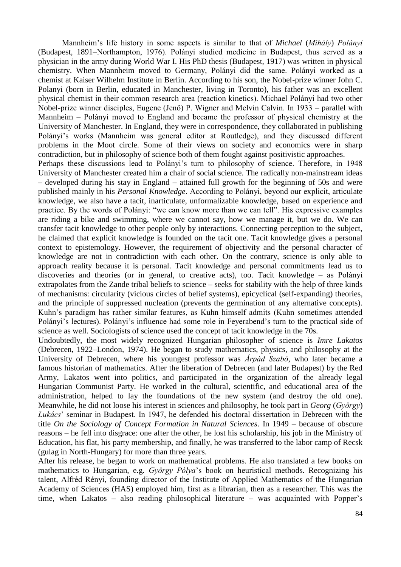Mannheim's life history in some aspects is similar to that of *Michael* (*Mihály*) *Polányi* (Budapest, 1891–Northampton, 1976). Polányi studied medicine in Budapest, thus served as a physician in the army during World War I. His PhD thesis (Budapest, 1917) was written in physical chemistry. When Mannheim moved to Germany, Polányi did the same. Polányi worked as a chemist at Kaiser Wilhelm Institute in Berlin. According to his son, the Nobel-prize winner John C. Polanyi (born in Berlin, educated in Manchester, living in Toronto), his father was an excellent physical chemist in their common research area (reaction kinetics). Michael Polányi had two other Nobel-prize winner disciples, Eugene (Jenő) P. Wigner and Melvin Calvin. In 1933 – parallel with Mannheim – Polányi moved to England and became the professor of physical chemistry at the University of Manchester. In England, they were in correspondence, they collaborated in publishing Polányi's works (Mannheim was general editor at Routledge), and they discussed different problems in the Moot circle. Some of their views on society and economics were in sharp contradiction, but in philosophy of science both of them fought against positivistic approaches.

Perhaps these discussions lead to Polányi's turn to philosophy of science. Therefore, in 1948 University of Manchester created him a chair of social science. The radically non-mainstream ideas – developed during his stay in England – attained full growth for the beginning of 50s and were published mainly in his *Personal Knowledge*. According to Polányi, beyond our explicit, articulate knowledge, we also have a tacit, inarticulate, unformalizable knowledge, based on experience and practice. By the words of Polányi: "we can know more than we can tell". His expressive examples are riding a bike and swimming, where we cannot say, how we manage it, but we do. We can transfer tacit knowledge to other people only by interactions. Connecting perception to the subject, he claimed that explicit knowledge is founded on the tacit one. Tacit knowledge gives a personal context to epistemology. However, the requirement of objectivity and the personal character of knowledge are not in contradiction with each other. On the contrary, science is only able to approach reality because it is personal. Tacit knowledge and personal commitments lead us to discoveries and theories (or in general, to creative acts), too. Tacit knowledge – as Polányi extrapolates from the Zande tribal beliefs to science – seeks for stability with the help of three kinds of mechanisms: circularity (vicious circles of belief systems), epicyclical (self-expanding) theories, and the principle of suppressed nucleation (prevents the germination of any alternative concepts). Kuhn's paradigm has rather similar features, as Kuhn himself admits (Kuhn sometimes attended Polányi's lectures). Polányi's influence had some role in Feyerabend's turn to the practical side of science as well. Sociologists of science used the concept of tacit knowledge in the 70s.

Undoubtedly, the most widely recognized Hungarian philosopher of science is *Imre Lakatos* (Debrecen, 1922–London, 1974). He began to study mathematics, physics, and philosophy at the University of Debrecen, where his youngest professor was *Árpád Szabó*, who later became a famous historian of mathematics. After the liberation of Debrecen (and later Budapest) by the Red Army, Lakatos went into politics, and participated in the organization of the already legal Hungarian Communist Party. He worked in the cultural, scientific, and educational area of the administration, helped to lay the foundations of the new system (and destroy the old one). Meanwhile, he did not loose his interest in sciences and philosophy, he took part in *Georg* (*György*) *Lukács*' seminar in Budapest. In 1947, he defended his doctoral dissertation in Debrecen with the title *On the Sociology of Concept Formation in Natural Sciences*. In 1949 – because of obscure reasons – he fell into disgrace: one after the other, he lost his scholarship, his job in the Ministry of Education, his flat, his party membership, and finally, he was transferred to the labor camp of Recsk (gulag in North-Hungary) for more than three years.

After his release, he began to work on mathematical problems. He also translated a few books on mathematics to Hungarian, e.g. *György Pólya*'s book on heuristical methods. Recognizing his talent, Alfréd Rényi, founding director of the Institute of Applied Mathematics of the Hungarian Academy of Sciences (HAS) employed him, first as a librarian, then as a researcher. This was the time, when Lakatos – also reading philosophical literature – was acquainted with Popper's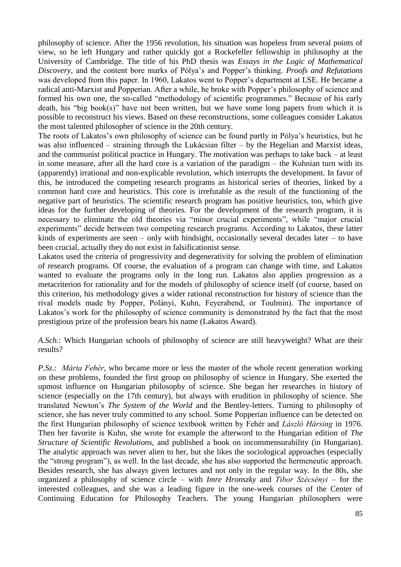philosophy of science. After the 1956 revolution, his situation was hopeless from several points of view, so he left Hungary and rather quickly got a Rockefeller fellowship in philosophy at the University of Cambridge. The title of his PhD thesis was *Essays in the Logic of Mathematical Discovery*, and the content bore marks of Pólya's and Popper's thinking. *Proofs and Refutations* was developed from this paper. In 1960, Lakatos went to Popper's department at LSE. He became a radical anti-Marxist and Popperian. After a while, he broke with Popper's philosophy of science and formed his own one, the so-called "methodology of scientific programmes." Because of his early death, his "big book(s)" have not been written, but we have some long papers from which it is possible to reconstruct his views. Based on these reconstructions, some colleagues consider Lakatos the most talented philosopher of science in the 20th century.

The roots of Lakatos's own philosophy of science can be found partly in Pólya's heuristics, but he was also influenced – straining through the Lukácsian filter – by the Hegelian and Marxist ideas, and the communist political practice in Hungary. The motivation was perhaps to take back – at least in some measure, after all the hard core is a variation of the paradigm – the Kuhnian turn with its (apparently) irrational and non-explicable revolution, which interrupts the development. In favor of this, he introduced the competing research programs as historical series of theories, linked by a common hard core and heuristics. This core is irrefutable as the result of the functioning of the negative part of heuristics. The scientific research program has positive heuristics, too, which give ideas for the further developing of theories. For the development of the research program, it is necessary to eliminate the old theories via "minor crucial experiments", while "major crucial experiments" decide between two competing research programs. According to Lakatos, these latter kinds of experiments are seen – only with hindsight, occasionally several decades later – to have been crucial, actually they do not exist in falsificationist sense.

Lakatos used the criteria of progressivity and degenerativity for solving the problem of elimination of research programs. Of course, the evaluation of a program can change with time, and Lakatos wanted to evaluate the programs only in the long run. Lakatos also applies progression as a metacriterion for rationality and for the models of philosophy of science itself (of course, based on this criterion, his methodology gives a wider rational reconstruction for history of science than the rival models made by Popper, Polányi, Kuhn, Feyerabend, or Toulmin). The importance of Lakatos's work for the philosophy of science community is demonstrated by the fact that the most prestigious prize of the profession bears his name (Lakatos Award).

*A.Sch.*: Which Hungarian schools of philosophy of science are still heavyweight? What are their results?

*P.Sz*.: *Márta Fehér*, who became more or less the master of the whole recent generation working on these problems, founded the first group on philosophy of science in Hungary. She exerted the upmost influence on Hungarian philosophy of science. She began her researches in history of science (especially on the 17th century), but always with erudition in philosophy of science. She translated Newton's *The System of the World* and the Bentley-letters. Turning to philosophy of science, she has never truly committed to any school. Some Popperian influence can be detected on the first Hungarian philosophy of science textbook written by Fehér and *László Hársing* in 1976. Then her favorite is Kuhn, she wrote for example the afterword to the Hungarian edition of *The Structure of Scientific Revolutions,* and published a book on incommensurability (in Hungarian). The analytic approach was never alien to her, but she likes the sociological approaches (especially the "strong program"), as well. In the last decade, she has also supported the hermeneutic approach. Besides research, she has always given lectures and not only in the regular way. In the 80s, she organized a philosophy of science circle – with *Imre Hronszky* and *Tibor Szécsényi* – for the interested colleagues, and she was a leading figure in the one-week courses of the Center of Continuing Education for Philosophy Teachers. The young Hungarian philosophers were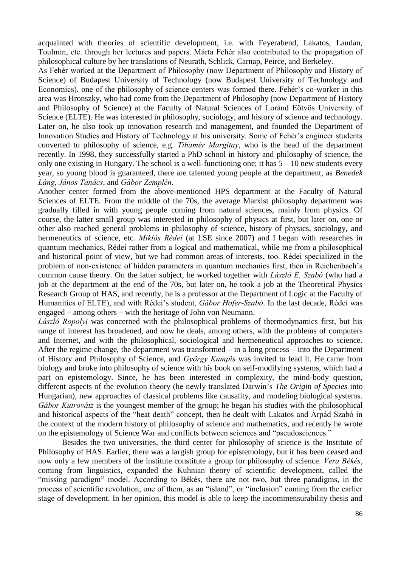acquainted with theories of scientific development, i.e. with Feyerabend, Lakatos, Laudan, Toulmin, etc. through her lectures and papers. Márta Fehér also contributed to the propagation of philosophical culture by her translations of Neurath, Schlick, Carnap, Peirce, and Berkeley.

As Fehér worked at the Department of Philosophy (now Department of Philosophy and History of Science) of Budapest University of Technology (now Budapest University of Technology and Economics), one of the philosophy of science centers was formed there. Fehér's co-worker in this area was Hronszky, who had come from the Department of Philosophy (now Department of History and Philosophy of Science) at the Faculty of Natural Sciences of Loránd Eötvös University of Science (ELTE). He was interested in philosophy, sociology, and history of science and technology. Later on, he also took up innovation research and management, and founded the Department of Innovation Studies and History of Technology at his university. Some of Fehér's engineer students converted to philosophy of science, e.g. *Tihamér Margitay*, who is the head of the department recently. In 1998, they successfully started a PhD school in history and philosophy of science, the only one existing in Hungary. The school is a well-functioning one; it has  $5 - 10$  new students every year, so young blood is guaranteed, there are talented young people at the department, as *Benedek Láng*, *János Tanács*, and *Gábor Zemplén*.

Another center formed from the above-mentioned HPS department at the Faculty of Natural Sciences of ELTE. From the middle of the 70s, the average Marxist philosophy department was gradually filled in with young people coming from natural sciences, mainly from physics. Of course, the latter small group was interested in philosophy of physics at first, but later on, one or other also reached general problems in philosophy of science, history of physics, sociology, and hermeneutics of science, etc. *Miklós Rédei* (at LSE since 2007) and I began with researches in quantum mechanics, Rédei rather from a logical and mathematical, while me from a philosophical and historical point of view, but we had common areas of interests, too. Rédei specialized in the problem of non-existence of hidden parameters in quantum mechanics first, then in Reichenbach's common cause theory. On the latter subject, he worked together with *László E. Szabó* (who had a job at the department at the end of the 70s, but later on, he took a job at the Theoretical Physics Research Group of HAS, and recently, he is a professor at the Department of Logic at the Faculty of Humanities of ELTE), and with Rédei's student, *Gábor Hofer-Szabó*. In the last decade, Rédei was engaged – among others – with the heritage of John von Neumann.

*László Ropolyi* was concerned with the philosophical problems of thermodynamics first, but his range of interest has broadened, and now he deals, among others, with the problems of computers and Internet, and with the philosophical, sociological and hermeneutical approaches to science. After the regime change, the department was transformed – in a long process – into the Department of History and Philosophy of Science, and *György Kampis* was invited to lead it. He came from biology and broke into philosophy of science with his book on self-modifying systems, which had a part on epistemology. Since, he has been interested in complexity, the mind-body question, different aspects of the evolution theory (he newly translated Darwin's *The Origin of Species* into Hungarian), new approaches of classical problems like causality, and modeling biological systems. *Gábor Kutrovátz* is the youngest member of the group; he began his studies with the philosophical and historical aspects of the "heat death" concept, then he dealt with Lakatos and Árpád Szabó in the context of the modern history of philosophy of science and mathematics, and recently he wrote on the epistemology of Science War and conflicts between sciences and "pseudosciences."

Besides the two universities, the third center for philosophy of science is the Institute of Philosophy of HAS. Earlier, there was a largish group for epistemology, but it has been ceased and now only a few members of the institute constitute a group for philosophy of science. *Vera Békés*, coming from linguistics, expanded the Kuhnian theory of scientific development, called the "missing paradigm" model. According to Békés, there are not two, but three paradigms, in the process of scientific revolution, one of them, as an "island", or "inclusion" coming from the earlier stage of development. In her opinion, this model is able to keep the incommensurability thesis and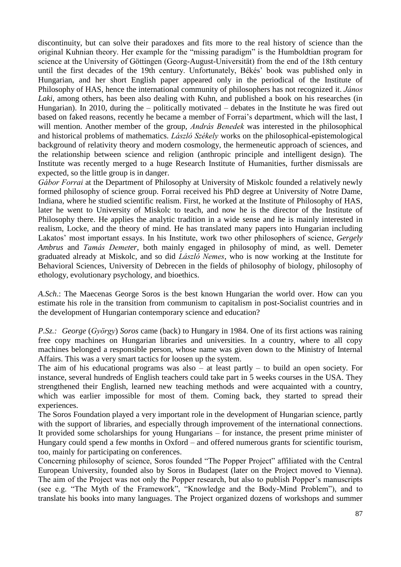discontinuity, but can solve their paradoxes and fits more to the real history of science than the original Kuhnian theory. Her example for the "missing paradigm" is the Humboldtian program for science at the University of Göttingen (Georg-August-Universität) from the end of the 18th century until the first decades of the 19th century. Unfortunately, Békés' book was published only in Hungarian, and her short English paper appeared only in the periodical of the Institute of Philosophy of HAS, hence the international community of philosophers has not recognized it. *János Laki*, among others, has been also dealing with Kuhn, and published a book on his researches (in Hungarian). In 2010, during the – politically motivated – debates in the Institute he was fired out based on faked reasons, recently he became a member of Forrai's department, which will the last, I will mention. Another member of the group, *András Benedek* was interested in the philosophical and historical problems of mathematics. *László Székely* works on the philosophical-epistemological background of relativity theory and modern cosmology, the hermeneutic approach of sciences, and the relationship between science and religion (anthropic principle and intelligent design). The Institute was recently merged to a huge Research Institute of Humanities, further dismissals are expected, so the little group is in danger.

*Gábor Forrai* at the Department of Philosophy at University of Miskolc founded a relatively newly formed philosophy of science group. Forrai received his PhD degree at University of Notre Dame, Indiana, where he studied scientific realism. First, he worked at the Institute of Philosophy of HAS, later he went to University of Miskolc to teach, and now he is the director of the Institute of Philosophy there. He applies the analytic tradition in a wide sense and he is mainly interested in realism, Locke, and the theory of mind. He has translated many papers into Hungarian including Lakatos' most important essays. In his Institute, work two other philosophers of science, *Gergely Ambrus* and *Tamás Demeter*, both mainly engaged in philosophy of mind, as well. Demeter graduated already at Miskolc, and so did *László Nemes*, who is now working at the Institute for Behavioral Sciences, University of Debrecen in the fields of philosophy of biology, philosophy of ethology, evolutionary psychology, and bioethics.

*A.Sch*.: The Maecenas George Soros is the best known Hungarian the world over. How can you estimate his role in the transition from communism to capitalism in post-Socialist countries and in the development of Hungarian contemporary science and education?

*P.Sz.: George* (*György*) *Soros* came (back) to Hungary in 1984. One of its first actions was raining free copy machines on Hungarian libraries and universities. In a country, where to all copy machines belonged a responsible person, whose name was given down to the Ministry of Internal Affairs. This was a very smart tactics for loosen up the system.

The aim of his educational programs was also – at least partly – to build an open society. For instance, several hundreds of English teachers could take part in 5 weeks courses in the USA. They strengthened their English, learned new teaching methods and were acquainted with a country, which was earlier impossible for most of them. Coming back, they started to spread their experiences.

The Soros Foundation played a very important role in the development of Hungarian science, partly with the support of libraries, and especially through improvement of the international connections. It provided some scholarships for young Hungarians – for instance, the present prime minister of Hungary could spend a few months in Oxford – and offered numerous grants for scientific tourism, too, mainly for participating on conferences.

Concerning philosophy of science, Soros founded "The Popper Project" affiliated with the Central European University, founded also by Soros in Budapest (later on the Project moved to Vienna). The aim of the Project was not only the Popper research, but also to publish Popper's manuscripts (see e.g. "The Myth of the Framework", "Knowledge and the Body-Mind Problem"), and to translate his books into many languages. The Project organized dozens of workshops and summer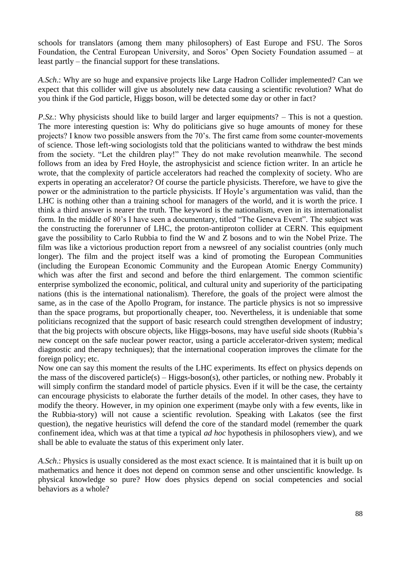schools for translators (among them many philosophers) of East Europe and FSU. The Soros Foundation, the Central European University, and Soros' Open Society Foundation assumed – at least partly – the financial support for these translations.

*A.Sch*.: Why are so huge and expansive projects like Large Hadron Collider implemented? Can we expect that this collider will give us absolutely new data causing a scientific revolution? What do you think if the God particle, Higgs boson, will be detected some day or other in fact?

*P.Sz.*: Why physicists should like to build larger and larger equipments? – This is not a question. The more interesting question is: Why do politicians give so huge amounts of money for these projects? I know two possible answers from the 70's. The first came from some counter-movements of science. Those left-wing sociologists told that the politicians wanted to withdraw the best minds from the society. "Let the children play!" They do not make revolution meanwhile. The second follows from an idea by Fred Hoyle, the astrophysicist and science fiction writer. In an article he wrote, that the complexity of particle accelerators had reached the complexity of society. Who are experts in operating an accelerator? Of course the particle physicists. Therefore, we have to give the power or the administration to the particle physicists. If Hoyle's argumentation was valid, than the LHC is nothing other than a training school for managers of the world, and it is worth the price. I think a third answer is nearer the truth. The keyword is the nationalism, even in its internationalist form. In the middle of 80's I have seen a documentary, titled "The Geneva Event". The subject was the constructing the forerunner of LHC, the proton-antiproton collider at CERN. This equipment gave the possibility to Carlo Rubbia to find the W and Z bosons and to win the Nobel Prize. The film was like a victorious production report from a newsreel of any socialist countries (only much longer). The film and the project itself was a kind of promoting the European Communities (including the European Economic Community and the European Atomic Energy Community) which was after the first and second and before the third enlargement. The common scientific enterprise symbolized the economic, political, and cultural unity and superiority of the participating nations (this is the international nationalism). Therefore, the goals of the project were almost the same, as in the case of the Apollo Program, for instance. The particle physics is not so impressive than the space programs, but proportionally cheaper, too. Nevertheless, it is undeniable that some politicians recognized that the support of basic research could strengthen development of industry; that the big projects with obscure objects, like Higgs-bosons, may have useful side shoots (Rubbia's new concept on the safe nuclear power reactor, using a particle accelerator-driven system; medical diagnostic and therapy techniques); that the international cooperation improves the climate for the foreign policy; etc.

Now one can say this moment the results of the LHC experiments. Its effect on physics depends on the mass of the discovered particle(s) – Higgs-boson(s), other particles, or nothing new. Probably it will simply confirm the standard model of particle physics. Even if it will be the case, the certainty can encourage physicists to elaborate the further details of the model. In other cases, they have to modify the theory. However, in my opinion one experiment (maybe only with a few events, like in the Rubbia-story) will not cause a scientific revolution. Speaking with Lakatos (see the first question), the negative heuristics will defend the core of the standard model (remember the quark confinement idea, which was at that time a typical *ad hoc* hypothesis in philosophers view), and we shall be able to evaluate the status of this experiment only later.

*A.Sch*.: Physics is usually considered as the most exact science. It is maintained that it is built up on mathematics and hence it does not depend on common sense and other unscientific knowledge. Is physical knowledge so pure? How does physics depend on social competencies and social behaviors as a whole?